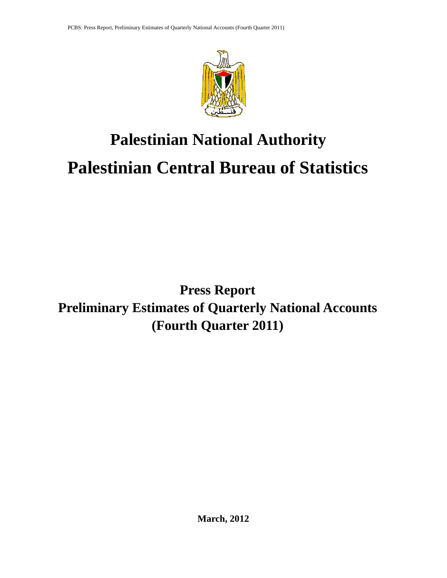

# **Palestinian National Authority Palestinian Central Bureau of Statistics**

# **Press Report Preliminary Estimates of Quarterly National Accounts (Fourth Quarter 2011)**

**March, 2012**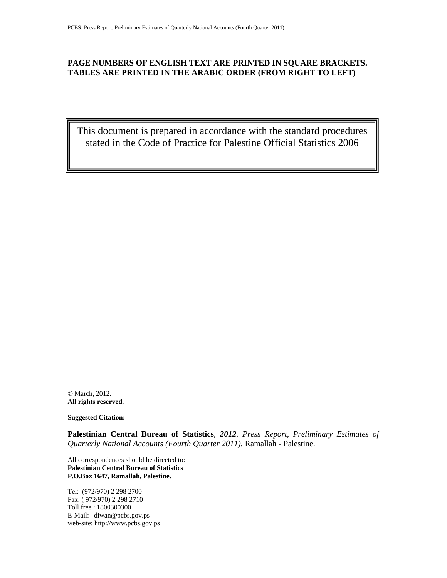# **PAGE NUMBERS OF ENGLISH TEXT ARE PRINTED IN SQUARE BRACKETS. TABLES ARE PRINTED IN THE ARABIC ORDER (FROM RIGHT TO LEFT)**

This document is prepared in accordance with the standard procedures stated in the Code of Practice for Palestine Official Statistics 2006

© March, 2012. **All rights reserved.**

 $\overline{1}$ 

**Suggested Citation:** 

**Palestinian Central Bureau of Statistics**, *2012. Press Report, Preliminary Estimates of Quarterly National Accounts (Fourth Quarter 2011).* Ramallah - Palestine.

All correspondences should be directed to: **Palestinian Central Bureau of Statistics P.O.Box 1647, Ramallah, Palestine.** 

Tel: (972/970) 2 298 2700 Fax: ( 972/970) 2 298 2710 Toll free.: 1800300300 E-Mail: diwan@pcbs.gov.ps web-site: http://www.pcbs.gov.ps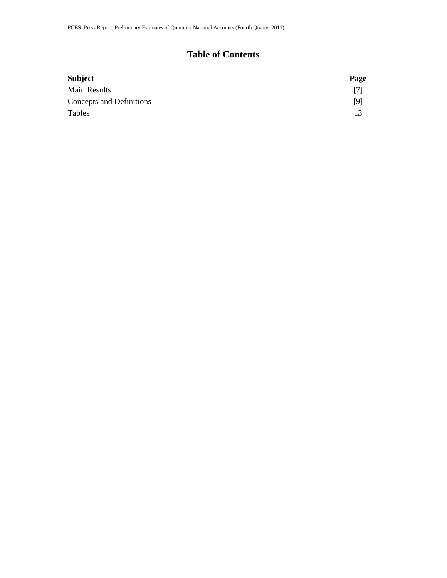# **Table of Contents**

| Subject                  | Page |
|--------------------------|------|
| <b>Main Results</b>      | 171  |
| Concepts and Definitions | [9]  |
| Tables                   | 13   |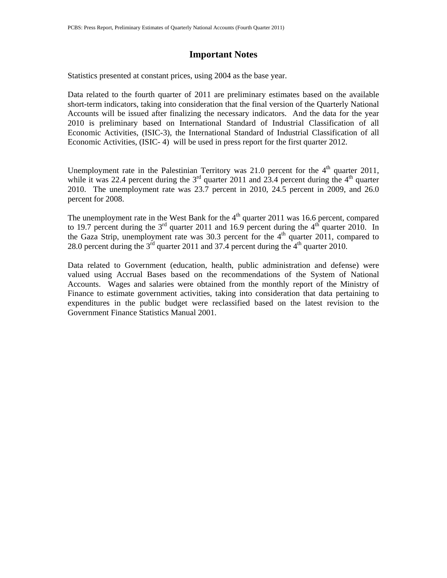# **Important Notes**

Statistics presented at constant prices, using 2004 as the base year.

Data related to the fourth quarter of 2011 are preliminary estimates based on the available short-term indicators, taking into consideration that the final version of the Quarterly National Accounts will be issued after finalizing the necessary indicators. And the data for the year 2010 is preliminary based on International Standard of Industrial Classification of all Economic Activities, (ISIC-3), the International Standard of Industrial Classification of all Economic Activities, (ISIC- 4) will be used in press report for the first quarter 2012.

Unemployment rate in the Palestinian Territory was 21.0 percent for the  $4<sup>th</sup>$  quarter 2011, while it was 22.4 percent during the  $3<sup>rd</sup>$  quarter 2011 and 23.4 percent during the  $4<sup>th</sup>$  quarter 2010. The unemployment rate was 23.7 percent in 2010, 24.5 percent in 2009, and 26.0 percent for 2008.

The unemployment rate in the West Bank for the  $4<sup>th</sup>$  quarter 2011 was 16.6 percent, compared to 19.7 percent during the  $3<sup>rd</sup>$  quarter 2011 and 16.9 percent during the  $4<sup>th</sup>$  quarter 2010. In the Gaza Strip, unemployment rate was 30.3 percent for the  $4<sup>th</sup>$  quarter 2011, compared to 28.0 percent during the  $3^{rd}$  quarter 2011 and 37.4 percent during the  $4^{th}$  quarter 2010.

Data related to Government (education, health, public administration and defense) were valued using Accrual Bases based on the recommendations of the System of National Accounts. Wages and salaries were obtained from the monthly report of the Ministry of Finance to estimate government activities, taking into consideration that data pertaining to expenditures in the public budget were reclassified based on the latest revision to the Government Finance Statistics Manual 2001.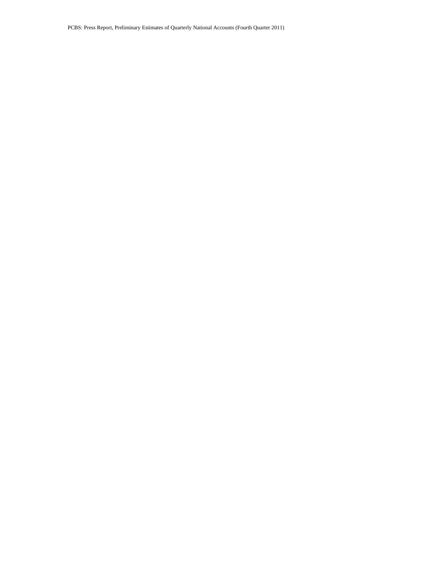PCBS: Press Report, Preliminary Estimates of Quarterly National Accounts (Fourth Quarter 2011)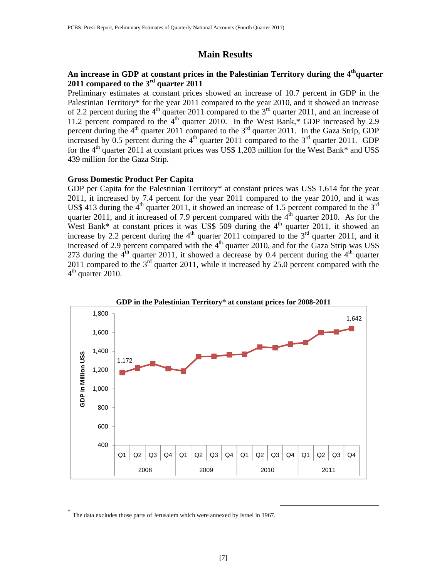# **Main Results**

# An increase in GDP at constant prices in the Palestinian Territory during the 4<sup>th</sup>quarter **2011 compared to the 3rd quarter 2011**

Preliminary estimates at constant prices showed an increase of 10.7 percent in GDP in the Palestinian Territory\* for the year 2011 compared to the year 2010, and it showed an increase of 2.2 percent during the  $4<sup>th</sup>$  quarter 2011 compared to the  $3<sup>rd</sup>$  quarter 2011, and an increase of 11.2 percent compared to the  $4<sup>th</sup>$  quarter 2010. In the West Bank,\* GDP increased by 2.9 percent during the 4<sup>th</sup> quarter 2011 compared to the 3<sup>rd</sup> quarter 2011. In the Gaza Strip, GDP increased by  $0.5$  percent during the  $4<sup>th</sup>$  quarter 2011 compared to the  $3<sup>rd</sup>$  quarter 2011. GDP for the  $4<sup>th</sup>$  quarter 2011 at constant prices was US\$ 1,203 million for the West Bank\* and US\$ 439 million for the Gaza Strip.

#### **Gross Domestic Product Per Capita**

GDP per Capita for the Palestinian Territory\* at constant prices was US\$ 1,614 for the year 2011, it increased by 7.4 percent for the year 2011 compared to the year 2010, and it was US\$ 413 during the  $4<sup>th</sup>$  quarter 2011, it showed an increase of 1.5 percent compared to the 3<sup>rd</sup> quarter 2011, and it increased of 7.9 percent compared with the  $4<sup>th</sup>$  quarter 2010. As for the West Bank\* at constant prices it was US\$ 509 during the 4<sup>th</sup> quarter 2011, it showed an increase by 2.2 percent during the  $4<sup>th</sup>$  quarter 2011 compared to the  $3<sup>rd</sup>$  quarter 2011, and it increased of 2.9 percent compared with the  $4<sup>th</sup>$  quarter 2010, and for the Gaza Strip was US\$ 273 during the  $4<sup>th</sup>$  quarter 2011, it showed a decrease by 0.4 percent during the  $4<sup>th</sup>$  quarter 2011 compared to the  $3<sup>rd</sup>$  quarter 2011, while it increased by 25.0 percent compared with the 4<sup>th</sup> quarter 2010.



 $\overline{a}$ The data excludes those parts of Jerusalem which were annexed by Israel in 1967.

\*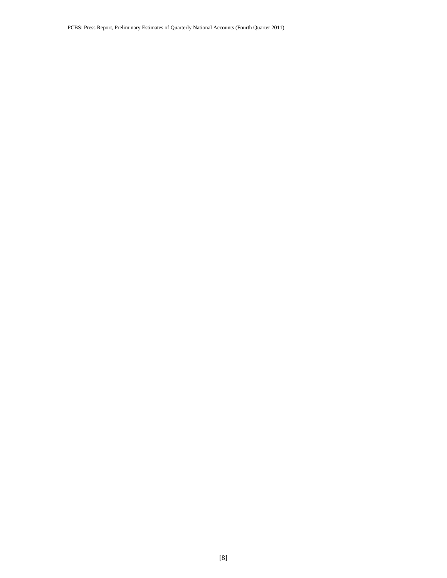PCBS: Press Report, Preliminary Estimates of Quarterly National Accounts (Fourth Quarter 2011)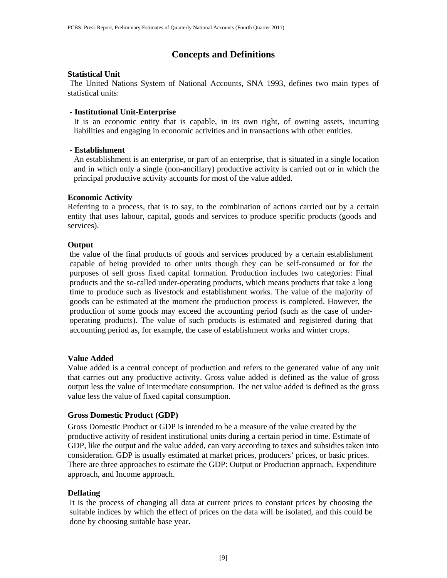# **Concepts and Definitions**

#### **Statistical Unit**

 The United Nations System of National Accounts, SNA 1993, defines two main types of statistical units:

#### **- Institutional Unit-Enterprise**

 It is an economic entity that is capable, in its own right, of owning assets, incurring liabilities and engaging in economic activities and in transactions with other entities.

#### - **Establishment**

 An establishment is an enterprise, or part of an enterprise, that is situated in a single location and in which only a single (non-ancillary) productive activity is carried out or in which the principal productive activity accounts for most of the value added.

#### **Economic Activity**

Referring to a process, that is to say, to the combination of actions carried out by a certain entity that uses labour, capital, goods and services to produce specific products (goods and services).

#### **Output**

the value of the final products of goods and services produced by a certain establishment capable of being provided to other units though they can be self-consumed or for the purposes of self gross fixed capital formation. Production includes two categories: Final products and the so-called under-operating products, which means products that take a long time to produce such as livestock and establishment works. The value of the majority of goods can be estimated at the moment the production process is completed. However, the production of some goods may exceed the accounting period (such as the case of underoperating products). The value of such products is estimated and registered during that accounting period as, for example, the case of establishment works and winter crops.

#### **Value Added**

Value added is a central concept of production and refers to the generated value of any unit that carries out any productive activity. Gross value added is defined as the value of gross output less the value of intermediate consumption. The net value added is defined as the gross value less the value of fixed capital consumption.

#### **Gross Domestic Product (GDP)**

Gross Domestic Product or GDP is intended to be a measure of the value created by the productive activity of resident institutional units during a certain period in time. Estimate of GDP, like the output and the value added, can vary according to taxes and subsidies taken into consideration. GDP is usually estimated at market prices, producers' prices, or basic prices. There are three approaches to estimate the GDP: Output or Production approach, Expenditure approach, and Income approach.

#### **Deflating**

It is the process of changing all data at current prices to constant prices by choosing the suitable indices by which the effect of prices on the data will be isolated, and this could be done by choosing suitable base year.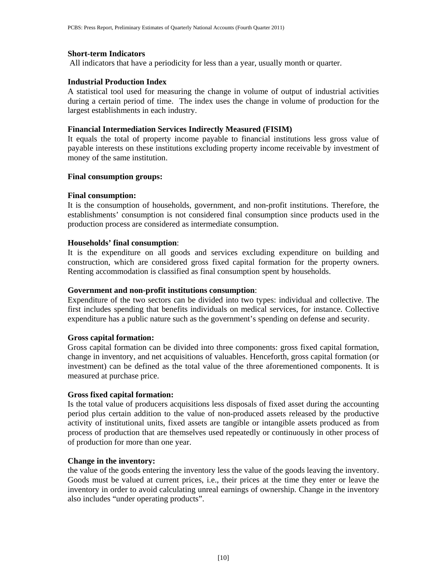#### **Short-term Indicators**

All indicators that have a periodicity for less than a year, usually month or quarter.

#### **Industrial Production Index**

A statistical tool used for measuring the change in volume of output of industrial activities during a certain period of time. The index uses the change in volume of production for the largest establishments in each industry.

#### **Financial Intermediation Services Indirectly Measured (FISIM)**

It equals the total of property income payable to financial institutions less gross value of payable interests on these institutions excluding property income receivable by investment of money of the same institution.

#### **Final consumption groups:**

#### **Final consumption:**

It is the consumption of households, government, and non-profit institutions. Therefore, the establishments' consumption is not considered final consumption since products used in the production process are considered as intermediate consumption.

#### **Households' final consumption**:

It is the expenditure on all goods and services excluding expenditure on building and construction, which are considered gross fixed capital formation for the property owners. Renting accommodation is classified as final consumption spent by households.

#### **Government and non-profit institutions consumption**:

Expenditure of the two sectors can be divided into two types: individual and collective. The first includes spending that benefits individuals on medical services, for instance. Collective expenditure has a public nature such as the government's spending on defense and security.

#### **Gross capital formation:**

Gross capital formation can be divided into three components: gross fixed capital formation, change in inventory, and net acquisitions of valuables. Henceforth, gross capital formation (or investment) can be defined as the total value of the three aforementioned components. It is measured at purchase price.

#### **Gross fixed capital formation:**

Is the total value of producers acquisitions less disposals of fixed asset during the accounting period plus certain addition to the value of non-produced assets released by the productive activity of institutional units, fixed assets are tangible or intangible assets produced as from process of production that are themselves used repeatedly or continuously in other process of of production for more than one year.

#### **Change in the inventory:**

the value of the goods entering the inventory less the value of the goods leaving the inventory. Goods must be valued at current prices, i.e., their prices at the time they enter or leave the inventory in order to avoid calculating unreal earnings of ownership. Change in the inventory also includes "under operating products".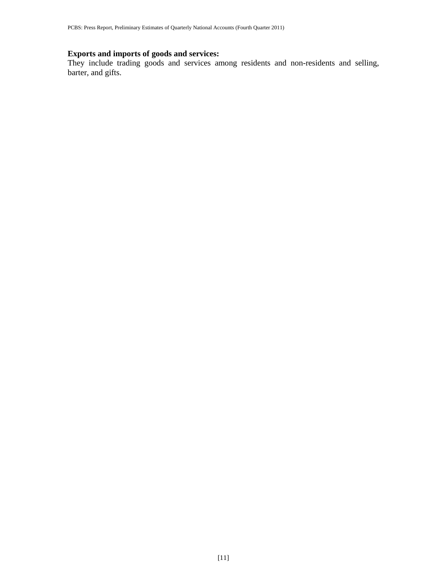# **Exports and imports of goods and services:**

They include trading goods and services among residents and non-residents and selling, barter, and gifts.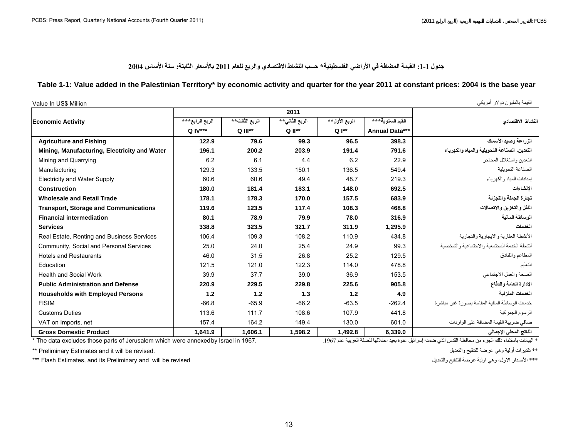جدول 1-1: القيمة المضافة في الأراضي الفلسطينية\* حسب النشاط الاقتصادي والربع للعام 2011 بالأسعار الثابتة: سنة الأساس 2004

#### **Table 1-1: Value added in the Palestinian Territory\* by economic activity and quarter for the year 2011 at constant prices: 2004 is the base year**

| Value In US\$ Million                        |                 |                |                        |               |                  | القيمة بالمليون دولار أمريكي                    |
|----------------------------------------------|-----------------|----------------|------------------------|---------------|------------------|-------------------------------------------------|
|                                              |                 |                |                        |               |                  |                                                 |
| <b>Economic Activity</b>                     | الربع الرابع*** | الربع الثالث** | الربع الثان <i>ي**</i> | الربع الأول** | القيم السنوية*** | لنشاط الاقتصادي                                 |
|                                              | $Q IV***$       | $Q$ $   **$    | $Q \parallel^{**}$     | $Q \mid^{**}$ | Annual Data***   |                                                 |
| <b>Agriculture and Fishing</b>               | 122.9           | 79.6           | 99.3                   | 96.5          | 398.3            | الزراعة وصبد الأسماك                            |
| Mining, Manufacturing, Electricity and Water | 196.1           | 200.2          | 203.9                  | 191.4         | 791.6            | التعدين، الصناعة التحويلية و المياه و الكهر باع |
| Mining and Quarrying                         | 6.2             | 6.1            | 4.4                    | 6.2           | 22.9             | التعدين و استغلال المحاجر                       |
| Manufacturing                                | 129.3           | 133.5          | 150.1                  | 136.5         | 549.4            | الصناعة التحو بلبة                              |
| Electricity and Water Supply                 | 60.6            | 60.6           | 49.4                   | 48.7          | 219.3            | إمدادات المياه و الكهر باء                      |
| <b>Construction</b>                          | 180.0           | 181.4          | 183.1                  | 148.0         | 692.5            | الانشاءات                                       |
| <b>Wholesale and Retail Trade</b>            | 178.1           | 178.3          | 170.0                  | 157.5         | 683.9            | تجارة الجملة والتجزئة                           |
| <b>Transport, Storage and Communications</b> | 119.6           | 123.5          | 117.4                  | 108.3         | 468.8            | النقل والتخزين والاتصالات                       |
| <b>Financial intermediation</b>              | 80.1            | 78.9           | 79.9                   | 78.0          | 316.9            | الوساطة المالبة                                 |
| <b>Services</b>                              | 338.8           | 323.5          | 321.7                  | 311.9         | 1,295.9          | الخدمات                                         |
| Real Estate, Renting and Business Services   | 106.4           | 109.3          | 108.2                  | 110.9         | 434.8            | الأنشطة العقارية والايجارية والتجارية           |
| Community, Social and Personal Services      | 25.0            | 24.0           | 25.4                   | 24.9          | 99.3             | أنشطة الخدمة المجتمعية والاجتماعية والشخصية     |
| <b>Hotels and Restaurants</b>                | 46.0            | 31.5           | 26.8                   | 25.2          | 129.5            | المطاعم والفنادق                                |
| Education                                    | 121.5           | 121.0          | 122.3                  | 114.0         | 478.8            | التعليم                                         |
| <b>Health and Social Work</b>                | 39.9            | 37.7           | 39.0                   | 36.9          | 153.5            | الصحة والعمل الاجتماعي                          |
| <b>Public Administration and Defense</b>     | 220.9           | 229.5          | 229.8                  | 225.6         | 905.8            | الإدارة العامة والدفاع                          |
| <b>Households with Employed Persons</b>      | 1.2             | 1.2            | 1.3                    | 1.2           | 4.9              | الخدمات المنز لبة                               |
| <b>FISIM</b>                                 | $-66.8$         | $-65.9$        | $-66.2$                | $-63.5$       | $-262.4$         | خدمات الوساطة المالية المقاسة بصورة غير مباشرة  |
| <b>Customs Duties</b>                        | 113.6           | 111.7          | 108.6                  | 107.9         | 441.8            | الرسوم الجمركية                                 |
| VAT on Imports, net                          | 157.4           | 164.2          | 149.4                  | 130.0         | 601.0            | صافي ضريبة القيمة المضافة على الواردات          |
| <b>Gross Domestic Product</b>                | 1.641.9         | 1.606.1        | 1.598.2                | 1.492.8       | 6.339.0          | الناتج المحلى الإجمالي                          |

\* البيانات باستثناء ذلك الجزء من محافظة القدس الذي ضمته إسرائيل عنوة بعيد احتلالها للضفة الغربية عام 1967 . .<br>\* البيانات باستثناء ذلك الجزء من محافظة القدس الذي ضمته إسرائيل عنوة بعيد احتلالها للضفة الغربية عام 1967 . [1

\*\* Preliminary Estimates and it will be revised. والتحديل التاقيح والتعديل للتنقيح عرضة للتنقيح والتعديل للتنقيح عرضة للتنقيح عرضة للتنقيح عرضة للتنقيح عرضة للتنقيح عرضة للتنقيح عرضة للتنقيح عرضة للتنقيح عرضة للتنقيح عرضة

\*\*\* Flash Estimates, and its Preliminary and will be revised والتعديل الأصدار الأول، وهي اولية عرضة للتنقيح والتعديل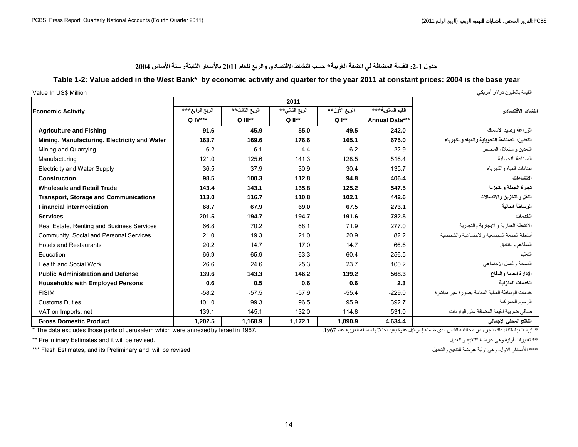# جدول 1-2: القيمة المضافة في الضفة الغربية\* حسب النشاط الاقتصادي والربع للعام 2011 بالأسعار الثابتة: سنة الأساس 2004

#### **Table 1-2: Value added in the West Bank\* by economic activity and quarter for the year 2011 at constant prices: 2004 is the base year**

القيمة بالمليون دولار أمريكي Million \$US In Value

| <b>Economic Activity</b>                     | الربع الرابع*** | الربع الثالث** | الربع الثاني**     | الربع الأول** | القيم السنوية*** | النشاط الاقتصادي                               |
|----------------------------------------------|-----------------|----------------|--------------------|---------------|------------------|------------------------------------------------|
|                                              | $Q IV***$       | $Q$ $   **$    | $Q \parallel^{**}$ | $Q \mid^{**}$ | Annual Data***   |                                                |
| <b>Agriculture and Fishing</b>               | 91.6            | 45.9           | 55.0               | 49.5          | 242.0            | الزراعة وصيد الأسماك                           |
| Mining, Manufacturing, Electricity and Water | 163.7           | 169.6          | 176.6              | 165.1         | 675.0            | التعدين، الصناعة التحويلية والمياه والكهرباء   |
| Mining and Quarrying                         | 6.2             | 6.1            | 4.4                | 6.2           | 22.9             | التعدين و استغلال المحاجر                      |
| Manufacturing                                | 121.0           | 125.6          | 141.3              | 128.5         | 516.4            | الصناعة التحويلية                              |
| Electricity and Water Supply                 | 36.5            | 37.9           | 30.9               | 30.4          | 135.7            | إمدادات المياه و الكهر باء                     |
| <b>Construction</b>                          | 98.5            | 100.3          | 112.8              | 94.8          | 406.4            | الانشاءات                                      |
| <b>Wholesale and Retail Trade</b>            | 143.4           | 143.1          | 135.8              | 125.2         | 547.5            | تجارة الجملة والتجزئة                          |
| <b>Transport, Storage and Communications</b> | 113.0           | 116.7          | 110.8              | 102.1         | 442.6            | النقل والتخزين والاتصالات                      |
| <b>Financial intermediation</b>              | 68.7            | 67.9           | 69.0               | 67.5          | 273.1            | الوساطة المالبة                                |
| <b>Services</b>                              | 201.5           | 194.7          | 194.7              | 191.6         | 782.5            | الخدمات                                        |
| Real Estate, Renting and Business Services   | 66.8            | 70.2           | 68.1               | 71.9          | 277.0            | الأنشطة العقارية والايجارية والتجارية          |
| Community, Social and Personal Services      | 21.0            | 19.3           | 21.0               | 20.9          | 82.2             | أنشطة الخدمة المجتمعية و الاجتماعية و الشخصية  |
| <b>Hotels and Restaurants</b>                | 20.2            | 14.7           | 17.0               | 14.7          | 66.6             | المطاعم والفنادق                               |
| Education                                    | 66.9            | 65.9           | 63.3               | 60.4          | 256.5            | النعليم                                        |
| <b>Health and Social Work</b>                | 26.6            | 24.6           | 25.3               | 23.7          | 100.2            | الصحة والعمل الاجتماعي                         |
| <b>Public Administration and Defense</b>     | 139.6           | 143.3          | 146.2              | 139.2         | 568.3            | الإدارة العامة والدفاع                         |
| <b>Households with Employed Persons</b>      | 0.6             | 0.5            | 0.6                | 0.6           | 2.3              | الخدمات المنز لبة                              |
| <b>FISIM</b>                                 | $-58.2$         | $-57.5$        | $-57.9$            | $-55.4$       | $-229.0$         | خدمات الوساطة المالية المقاسة بصورة غير مباشرة |
| <b>Customs Duties</b>                        | 101.0           | 99.3           | 96.5               | 95.9          | 392.7            | الرسوم الجمركية                                |
| VAT on Imports, net                          | 139.1           | 145.1          | 132.0              | 114.8         | 531.0            | صافي ضريبة القيمة المضافة على الواردات         |
| <b>Gross Domestic Product</b>                | 1,202.5         | 1,168.9        | 1,172.1            | 1,090.9       | 4,634.4          | الناتج المحلي الإجمالي                         |

\* البيانات باستثناء ذلك الجزء من محافظة القدس الذي ضمته إسرائيل عنوة بعيد احتلالها للضفة الغربية عام 1967 . [19

\*\* Preliminary Estimates and it will be revised. والتعديل التنقيح والتعديل للتنقيح عرضة للتنقيح عرضة للتنقيح والتعديل

\*\*\* Flash Estimates, and its Preliminary and will be revised أصدار الاول، وهي اولية عرضة للتنقيح والنعديل الأصدار الأول، وهي اولية عرضة للتنقيح والنعديل المستح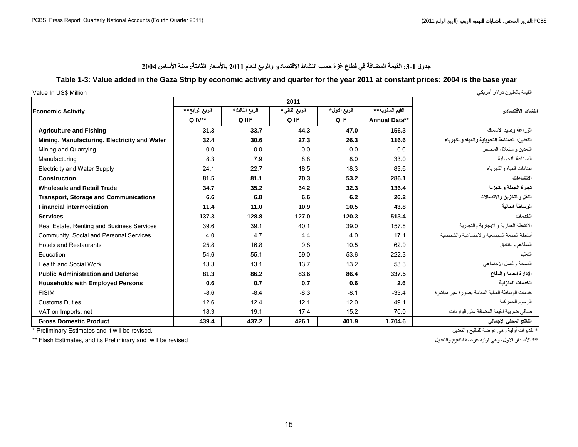#### **Table 1-3: Value added in the Gaza Strip by economic activity and quarter for the year 2011 at constant prices: 2004 is the base year**

|  |  |  | Value In US\$ Million |  |
|--|--|--|-----------------------|--|
|--|--|--|-----------------------|--|

| <b>Economic Activity</b>                     | الربع الرابع** | الربع الثالث*          | الربع الثاني* | الربع الأول* | القيم السنوية**      | النشاط الاقتصادى                                |
|----------------------------------------------|----------------|------------------------|---------------|--------------|----------------------|-------------------------------------------------|
|                                              | $Q IV**$       | $Q$ $   $ <sup>*</sup> | $Q$ $II^*$    | Q'           | <b>Annual Data**</b> |                                                 |
| <b>Agriculture and Fishing</b>               | 31.3           | 33.7                   | 44.3          | 47.0         | 156.3                | الزراعة وصيد الأسماك                            |
| Mining, Manufacturing, Electricity and Water | 32.4           | 30.6                   | 27.3          | 26.3         | 116.6                | التعدين، الصناعة التحويلية والمياه والكهرباء    |
| Mining and Quarrying                         | 0.0            | 0.0                    | 0.0           | 0.0          | 0.0                  | التعدين واستغلال المحاجر                        |
| Manufacturing                                | 8.3            | 7.9                    | 8.8           | 8.0          | 33.0                 | الصناعة التحويلية                               |
| <b>Electricity and Water Supply</b>          | 24.1           | 22.7                   | 18.5          | 18.3         | 83.6                 | إمدادات المياه و الكهر باء                      |
| <b>Construction</b>                          | 81.5           | 81.1                   | 70.3          | 53.2         | 286.1                | الانشاءات                                       |
| <b>Wholesale and Retail Trade</b>            | 34.7           | 35.2                   | 34.2          | 32.3         | 136.4                | تجارة الجملة والتجزئة                           |
| <b>Transport, Storage and Communications</b> | 6.6            | 6.8                    | 6.6           | 6.2          | 26.2                 | النقل والتخزين والاتصالات                       |
| <b>Financial intermediation</b>              | 11.4           | 11.0                   | 10.9          | 10.5         | 43.8                 | الوساطة المالبة                                 |
| <b>Services</b>                              | 137.3          | 128.8                  | 127.0         | 120.3        | 513.4                | الخدمات                                         |
| Real Estate, Renting and Business Services   | 39.6           | 39.1                   | 40.1          | 39.0         | 157.8                | الأنشطة العقار ية و الإيجار ية و التجار ية      |
| Community, Social and Personal Services      | 4.0            | 4.7                    | 4.4           | 4.0          | 17.1                 | أنشطة الخدمة المجتمعية و الاجتماعية و الشخصية   |
| <b>Hotels and Restaurants</b>                | 25.8           | 16.8                   | 9.8           | 10.5         | 62.9                 | المطاعم والفنادق                                |
| Education                                    | 54.6           | 55.1                   | 59.0          | 53.6         | 222.3                | النعليم                                         |
| <b>Health and Social Work</b>                | 13.3           | 13.1                   | 13.7          | 13.2         | 53.3                 | الصحة والعمل الاجتماعي                          |
| <b>Public Administration and Defense</b>     | 81.3           | 86.2                   | 83.6          | 86.4         | 337.5                | الإدارة العامة والدفاع                          |
| <b>Households with Employed Persons</b>      | 0.6            | 0.7                    | 0.7           | 0.6          | 2.6                  | الخدمات المنز لبة                               |
| <b>FISIM</b>                                 | $-8.6$         | $-8.4$                 | $-8.3$        | $-8.1$       | $-33.4$              | خدمات الو ساطة المالية المقاسة بصورة غبر مباشرة |
| <b>Customs Duties</b>                        | 12.6           | 12.4                   | 12.1          | 12.0         | 49.1                 | الرسوم الجمركية                                 |
| VAT on Imports, net                          | 18.3           | 19.1                   | 17.4          | 15.2         | 70.0                 | صافي ضريبة القيمة المضافة على الواردات          |
| <b>Gross Domestic Product</b>                | 439.4          | 437.2                  | 426.1         | 401.9        | 1,704.6              | الناتج المحلي الإجمالي                          |

\* تقديرات أولية وهي عرضة للتنقيح والتعديل للتنقيح والتعديل للتنقيح والتعديل للتنقيح عرضة للتنقيح والتعديل للتنقيح عرضة للتنقيح والتعديل

\*\* Flash Estimates, and its Preliminary and will be revised والتعديل للتنقيح عرضة اولية وهي ،الاول الأصدار\*\*

القيمة بالمليون دولار أمريكي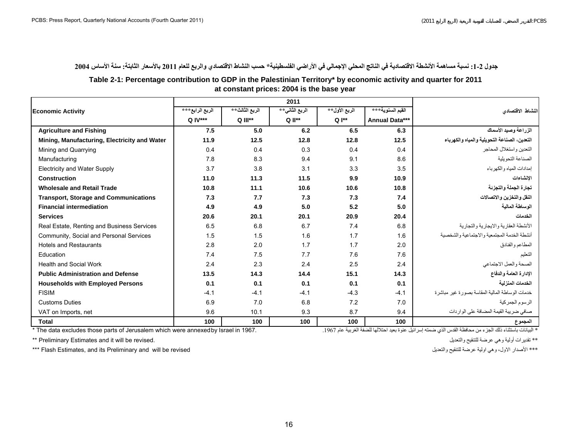#### جدول 2-1: نسبة مساهمة الأنشطة الاقتصادية في الناتج المحلي الإجمالي في الأراضي الفلسطينية\* حسب النشاط الاقتصادي والربع للعام 2011 بالأسعار الثابتة: سنة الأساس 2004

 **Table 2-1: Percentage contribution to GDP in the Palestinian Territory\* by economic activity and quarter for 2011 at constant prices: 2004 is the base year**

| <b>Economic Activity</b>                     | الربع الرابع*** | الربع الثالث** | الربع الثاني**     | الربع الأول** | القيم السنوية***      | النشاط الاقتصادى                                |
|----------------------------------------------|-----------------|----------------|--------------------|---------------|-----------------------|-------------------------------------------------|
|                                              | Q IV***         | Q III**        | $Q \parallel^{**}$ | $Q \mid^{**}$ | <b>Annual Data***</b> |                                                 |
| <b>Agriculture and Fishing</b>               | 7.5             | 5.0            | 6.2                | 6.5           | 6.3                   | الزراعة وصيد الأسماك                            |
| Mining, Manufacturing, Electricity and Water | 11.9            | 12.5           | 12.8               | 12.8          | 12.5                  | التعدين، الصناعة التحويلية و المياه و الكهر باع |
| Mining and Quarrying                         | 0.4             | 0.4            | 0.3                | 0.4           | 0.4                   | التعدين واستغلال المحاجر                        |
| Manufacturing                                | 7.8             | 8.3            | 9.4                | 9.1           | 8.6                   | الصناعة التحويلية                               |
| <b>Electricity and Water Supply</b>          | 3.7             | 3.8            | 3.1                | 3.3           | 3.5                   | إمدادات المياه و الكهر باء                      |
| <b>Construction</b>                          | 11.0            | 11.3           | 11.5               | 9.9           | 10.9                  | الانشاءات                                       |
| <b>Wholesale and Retail Trade</b>            | 10.8            | 11.1           | 10.6               | 10.6          | 10.8                  | تجارة الجملة والتجزئة                           |
| <b>Transport, Storage and Communications</b> | 7.3             | 7.7            | 7.3                | 7.3           | 7.4                   | النقل والتخزين والاتصالات                       |
| <b>Financial intermediation</b>              | 4.9             | 4.9            | 5.0                | 5.2           | 5.0                   | الوساطة المالية                                 |
| <b>Services</b>                              | 20.6            | 20.1           | 20.1               | 20.9          | 20.4                  | الخدمات                                         |
| Real Estate, Renting and Business Services   | 6.5             | 6.8            | 6.7                | 7.4           | 6.8                   | الأنشطة العقارية والايجارية والتجارية           |
| Community, Social and Personal Services      | 1.5             | 1.5            | 1.6                | 1.7           | 1.6                   | أنشطة الخدمة المجتمعية و الاجتماعية و الشخصية   |
| <b>Hotels and Restaurants</b>                | 2.8             | 2.0            | 1.7                | 1.7           | 2.0                   | المطاعم و الفنادق                               |
| Education                                    | 7.4             | 7.5            | 7.7                | 7.6           | 7.6                   | التعليم                                         |
| <b>Health and Social Work</b>                | 2.4             | 2.3            | 2.4                | 2.5           | 2.4                   | الصحة والعمل الاجتماعي                          |
| <b>Public Administration and Defense</b>     | 13.5            | 14.3           | 14.4               | 15.1          | 14.3                  | الإدارة العامة والدفاع                          |
| <b>Households with Employed Persons</b>      | 0.1             | 0.1            | 0.1                | 0.1           | 0.1                   | الخدمات المنز لبة                               |
| <b>FISIM</b>                                 | $-4.1$          | $-4.1$         | $-4.1$             | $-4.3$        | $-4.1$                | خدمات الو ساطة المالية المقاسة بصورة غبر مباشرة |
| <b>Customs Duties</b>                        | 6.9             | 7.0            | 6.8                | 7.2           | 7.0                   | الرسوم الجمركية                                 |
| VAT on Imports, net                          | 9.6             | 10.1           | 9.3                | 8.7           | 9.4                   | صافي ضريبة القيمة المضافة على الواردات          |
| Total                                        | 100             | 100            | 100                | 100           | 100                   | المجموع                                         |

\* البيانات باستثناء ذلك الجزء من محافظة القدس الذي ضمته إسرائيل عنوة بعيد احتلالها للضفة الغربية عام 1967 . [1

\*\* Preliminary Estimates and it will be revised. والتعديل التنقيح والتعديل التعديل للتنقيح والتعديل للتنقيح والتعديل

\*\*\* Flash Estimates, and its Preliminary and will be revised أصدار الاول، وهي اولية عرضة للتنقيح والتعديل الأصدار الأول، وهي اولية عرضة للتنقيح والتعديل للتنقيح عرضة التنقيح والتعديل ل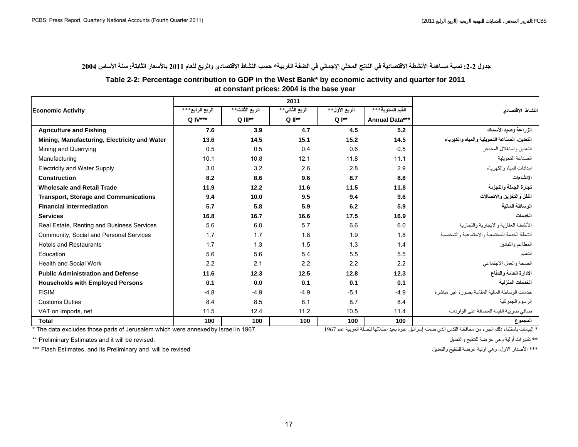جدول 2-2: نسبة مساهمة الأنشطة الاقتصادية في الناتج المحلي الإجمالي في الضفة الغربية\* حسب النشاط الاقتصادي والربع للعام 2011 بالأسعار الثابتة: سنة الأساس 2004

| <b>Economic Activity</b>                     | الربع الرابع*** | الربع الثالث** | الربع الثاني**     | الربع الأول** | القيم السنوية***      | لنشاط الاقتصادى                                 |
|----------------------------------------------|-----------------|----------------|--------------------|---------------|-----------------------|-------------------------------------------------|
|                                              | $Q IV***$       | $Q$ $   **$    | $Q \parallel^{**}$ | $Q \mid^{**}$ | <b>Annual Data***</b> |                                                 |
| <b>Agriculture and Fishing</b>               | 7.6             | 3.9            | 4.7                | 4.5           | 5.2                   | الزراعة وصيد الأسماك                            |
| Mining, Manufacturing, Electricity and Water | 13.6            | 14.5           | 15.1               | 15.2          | 14.5                  | التعدين، الصناعة التحويلية والمياه والكهرباء    |
| Mining and Quarrying                         | 0.5             | 0.5            | 0.4                | 0.6           | 0.5                   | التعدين واستغلال المحاجر                        |
| Manufacturing                                | 10.1            | 10.8           | 12.1               | 11.8          | 11.1                  | الصناعة التحويلية                               |
| <b>Electricity and Water Supply</b>          | 3.0             | 3.2            | 2.6                | 2.8           | 2.9                   | إمدادات المياه و الكهر باء                      |
| <b>Construction</b>                          | 8.2             | 8.6            | 9.6                | 8.7           | 8.8                   | الانشاءات                                       |
| <b>Wholesale and Retail Trade</b>            | 11.9            | 12.2           | 11.6               | 11.5          | 11.8                  | تجارة الجملة والتجزئة                           |
| <b>Transport, Storage and Communications</b> | 9.4             | 10.0           | 9.5                | 9.4           | 9.6                   | النقل والتخزين والاتصالات                       |
| <b>Financial intermediation</b>              | 5.7             | 5.8            | 5.9                | 6.2           | 5.9                   | الوساطة المالبة                                 |
| <b>Services</b>                              | 16.8            | 16.7           | 16.6               | 17.5          | 16.9                  | الخدمات                                         |
| Real Estate, Renting and Business Services   | 5.6             | 6.0            | 5.7                | 6.6           | 6.0                   | الأنشطة العقارية والايجارية والتجارية           |
| Community, Social and Personal Services      | 1.7             | 1.7            | 1.8                | 1.9           | 1.8                   | أنشطة الخدمة المجتمعية والاجتماعية والشخصية     |
| <b>Hotels and Restaurants</b>                | 1.7             | 1.3            | 1.5                | 1.3           | 1.4                   | المطاعم والفنادق                                |
| Education                                    | 5.6             | 5.6            | 5.4                | 5.5           | 5.5                   | التعليم                                         |
| <b>Health and Social Work</b>                | 2.2             | 2.1            | 2.2                | 2.2           | 2.2                   | الصحة والعمل الاجتماعي                          |
| <b>Public Administration and Defense</b>     | 11.6            | 12.3           | 12.5               | 12.8          | 12.3                  | الإدارة العامة والدفاع                          |
| <b>Households with Employed Persons</b>      | 0.1             | 0.0            | 0.1                | 0.1           | 0.1                   | الخدمات المنز لبة                               |
| <b>FISIM</b>                                 | $-4.8$          | $-4.9$         | $-4.9$             | $-5.1$        | $-4.9$                | خدمات الو ساطة المالية المقاسة بصورة غير مباشرة |
| <b>Customs Duties</b>                        | 8.4             | 8.5            | 8.1                | 8.7           | 8.4                   | الرسوم الجمركية                                 |
| VAT on Imports, net                          | 11.5            | 12.4           | 11.2               | 10.5          | 11.4                  | صافى ضريبة القيمة المضافة على الوار دات         |
| <b>Total</b>                                 | 100             | 100            | 100                | 100           | 100                   | المجموع                                         |

 **Table 2-2: Percentage contribution to GDP in the West Bank\* by economic activity and quarter for 2011 at constant prices: 2004 is the base year**

\* البيانات باستثناء ذلك الجزء من محافظة القدس الذي ضمته إسرائيل عنوة بعيد احتلالها للضفة الغربية عام 1967 . اص

\*\* Preliminary Estimates and it will be revised. والتعديل التنقيح والتعديل التعليح والتعديل للتنقيح والتعديل ل

\*\*\* Flash Estimates, and its Preliminary and will be revised والتعديل الأصدار الأول، وهي اولية عرضة للتنقيح والتعديل الأصدار الأول، وهي اولية عرضة للتنقيح والتعديل المستخدم التنقيع عرضة التنقيح والتعديل الأصدار الأول، وه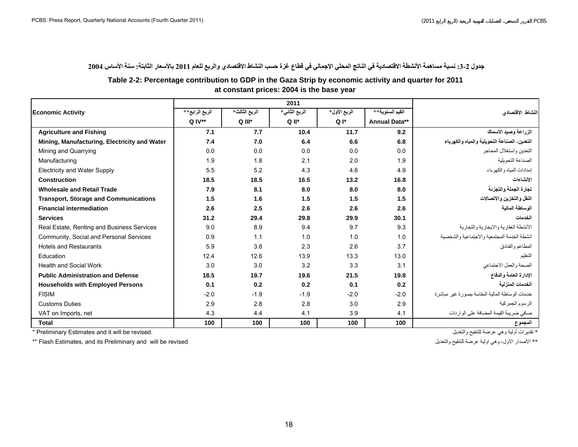# جدول 2-3: نسبة مساهمة الأنشطة الاقتصادية في الناتج المحلي الإجمالي في قطاع غزة حسب النشاط الاقتصادي والربع للعام 2011 بالأسعار الثابتة: سنة الأساس 2004

| Table 2-2: Percentage contribution to GDP in the Gaza Strip by economic activity and quarter for 2011 |
|-------------------------------------------------------------------------------------------------------|
| at constant prices: 2004 is the base year                                                             |

| <b>Economic Activity</b>                     | الربع الرابع** | الربع الثالث* | الربع الثان <i>ي</i> * | الربع الأول* | القيم السنوية**      | النشاط الاقتصادي                                |
|----------------------------------------------|----------------|---------------|------------------------|--------------|----------------------|-------------------------------------------------|
|                                              | $Q IV**$       | $Q$ $   ^*$   | $Q \parallel^*$        | $Q \mid^*$   | <b>Annual Data**</b> |                                                 |
| <b>Agriculture and Fishing</b>               | 7.1            | 7.7           | 10.4                   | 11.7         | 9.2                  | الزراعة وصيد الأسماك                            |
| Mining, Manufacturing, Electricity and Water | 7.4            | 7.0           | 6.4                    | 6.6          | 6.8                  | التعدين، الصناعة التحويلية و المياه و الكهر باع |
| Mining and Quarrying                         | 0.0            | 0.0           | 0.0                    | 0.0          | 0.0                  | التعدين و استغلال المحاجر                       |
| Manufacturing                                | 1.9            | 1.8           | 2.1                    | 2.0          | 1.9                  | الصناعة التحو بلبة                              |
| <b>Electricity and Water Supply</b>          | 5.5            | 5.2           | 4.3                    | 4.6          | 4.9                  | إمدادات المباه والكهر باء                       |
| Construction                                 | 18.5           | 18.5          | 16.5                   | 13.2         | 16.8                 | الانشاءات                                       |
| <b>Wholesale and Retail Trade</b>            | 7.9            | 8.1           | 8.0                    | 8.0          | 8.0                  | تجارة الجملة والتجزئة                           |
| <b>Transport, Storage and Communications</b> | 1.5            | 1.6           | 1.5                    | 1.5          | 1.5                  | النقل والتخزين والاتصالات                       |
| <b>Financial intermediation</b>              | 2.6            | 2.5           | 2.6                    | 2.6          | 2.6                  | اله ساطة المالية                                |
| <b>Services</b>                              | 31.2           | 29.4          | 29.8                   | 29.9         | 30.1                 | الخدمات                                         |
| Real Estate, Renting and Business Services   | 9.0            | 8.9           | 9.4                    | 9.7          | 9.3                  | الأنشطة العقارية والايجارية والتجارية           |
| Community, Social and Personal Services      | 0.9            | 1.1           | 1.0                    | 1.0          | 1.0                  | أنشطة الخدمة المجتمعية و الاجتماعية و الشخصية   |
| <b>Hotels and Restaurants</b>                | 5.9            | 3.8           | 2.3                    | 2.6          | 3.7                  | المطاعم والفنادق                                |
| Education                                    | 12.4           | 12.6          | 13.9                   | 13.3         | 13.0                 | النعليم                                         |
| <b>Health and Social Work</b>                | 3.0            | 3.0           | 3.2                    | 3.3          | 3.1                  | الصحة والعمل الاجتماعي                          |
| <b>Public Administration and Defense</b>     | 18.5           | 19.7          | 19.6                   | 21.5         | 19.8                 | الإدارة العامة والدفاع                          |
| <b>Households with Employed Persons</b>      | 0.1            | 0.2           | 0.2                    | 0.1          | 0.2                  | الخدمات المنز لبة                               |
| <b>FISIM</b>                                 | $-2.0$         | $-1.9$        | $-1.9$                 | $-2.0$       | $-2.0$               | خدمات الوساطة المالية المقاسة بصورة غير مباشرة  |
| <b>Customs Duties</b>                        | 2.9            | 2.8           | 2.8                    | 3.0          | 2.9                  | الرسوم الجمركية                                 |
| VAT on Imports, net                          | 4.3            | 4.4           | 4.1                    | 3.9          | 4.1                  | صافي ضريبة القيمة المضافة على الواردات          |
| <b>Total</b>                                 | 100            | 100           | 100                    | 100          | 100                  | المجموع                                         |

\* تقديرات أولية وهي عرضة للتنقيح والتعديل للتنقيح والتعديل للتنقيح عرضة للتنقيح والتعديل للتنقيح عرضة والتعديل

\*\* Flash Estimates, and its Preliminary and will be revised والتعديل للتنقيح عرضة اولية وهي ،الاول الأصدار\*\*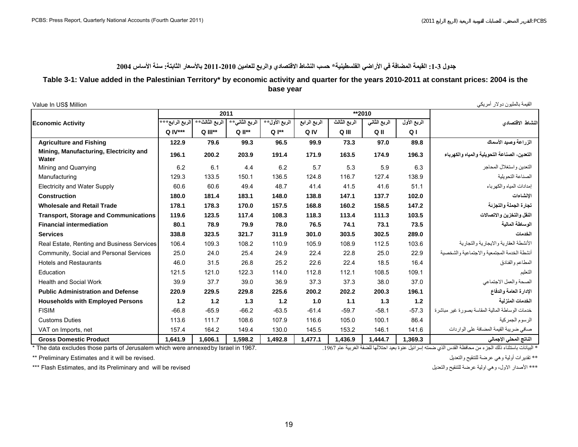#### جدول 3-1: القيمة المضافة في الأراضي الفلسطينية\* حسب النشاط الاقتصادي والربع للعامين 2010-2011 بالأسعار الثابتة: سنة الأساس 2004

# **Table 3-1: Value added in the Palestinian Territory\* by economic activity and quarter for the years 2010-2011 at constant prices: 2004 is the base year**

| Value In US\$ Million                           |                 |                |                    |               |              |              |              |             | القيمة بالمليون دولار أمريكي                   |  |
|-------------------------------------------------|-----------------|----------------|--------------------|---------------|--------------|--------------|--------------|-------------|------------------------------------------------|--|
|                                                 |                 | 2011           |                    |               |              |              | **2010       |             |                                                |  |
| <b>Economic Activity</b>                        | الربع الرابع*** | الربع الثالث** | الربع الثاني**     | الربع الأول** | الربع الرابع | الربع الثالث | الربع الثاني | الربع الأول | النشاط الاقتصادي                               |  |
|                                                 | Q IV***         | Q III**        | $Q \parallel^{**}$ | $Q \mid^{**}$ | Q IV         | Q III        | Q II         | QI          |                                                |  |
| <b>Agriculture and Fishing</b>                  | 122.9           | 79.6           | 99.3               | 96.5          | 99.9         | 73.3         | 97.0         | 89.8        | الزراعة وصيد الأسماك                           |  |
| Mining, Manufacturing, Electricity and<br>Water | 196.1           | 200.2          | 203.9              | 191.4         | 171.9        | 163.5        | 174.9        | 196.3       | التعدين، الصناعة التحويلية والمياه والكهرباء   |  |
| Mining and Quarrying                            | 6.2             | 6.1            | 4.4                | 6.2           | 5.7          | 5.3          | 5.9          | 6.3         | التعدين واستغلال المحاجر                       |  |
| Manufacturing                                   | 129.3           | 133.5          | 150.1              | 136.5         | 124.8        | 116.7        | 127.4        | 138.9       | الصناعة التحو بلبة                             |  |
| <b>Electricity and Water Supply</b>             | 60.6            | 60.6           | 49.4               | 48.7          | 41.4         | 41.5         | 41.6         | 51.1        | إمدادات المياه والكهرباء                       |  |
| <b>Construction</b>                             | 180.0           | 181.4          | 183.1              | 148.0         | 138.8        | 147.1        | 137.7        | 102.0       | الانشاءات                                      |  |
| <b>Wholesale and Retail Trade</b>               | 178.1           | 178.3          | 170.0              | 157.5         | 168.8        | 160.2        | 158.5        | 147.2       | تجارة الجملة والتجزئة                          |  |
| <b>Transport, Storage and Communications</b>    | 119.6           | 123.5          | 117.4              | 108.3         | 118.3        | 113.4        | 111.3        | 103.5       | النقل والتخزين والاتصالات                      |  |
| <b>Financial intermediation</b>                 | 80.1            | 78.9           | 79.9               | 78.0          | 76.5         | 74.1         | 73.1         | 73.5        | الوساطة المالبة                                |  |
| <b>Services</b>                                 | 338.8           | 323.5          | 321.7              | 311.9         | 301.0        | 303.5        | 302.5        | 289.0       | الخدمات                                        |  |
| Real Estate, Renting and Business Services      | 106.4           | 109.3          | 108.2              | 110.9         | 105.9        | 108.9        | 112.5        | 103.6       | الأنشطة العقارية والايجارية والتجارية          |  |
| Community, Social and Personal Services         | 25.0            | 24.0           | 25.4               | 24.9          | 22.4         | 22.8         | 25.0         | 22.9        | أنشطة الخدمة المجتمعية والاجتماعية والشخصية    |  |
| <b>Hotels and Restaurants</b>                   | 46.0            | 31.5           | 26.8               | 25.2          | 22.6         | 22.4         | 18.5         | 16.4        | المطاعم والفنادق                               |  |
| Education                                       | 121.5           | 121.0          | 122.3              | 114.0         | 112.8        | 112.1        | 108.5        | 109.1       | التعليم                                        |  |
| <b>Health and Social Work</b>                   | 39.9            | 37.7           | 39.0               | 36.9          | 37.3         | 37.3         | 38.0         | 37.0        | الصحة والعمل الاجتماعي                         |  |
| <b>Public Administration and Defense</b>        | 220.9           | 229.5          | 229.8              | 225.6         | 200.2        | 202.2        | 200.3        | 196.1       | الإدارة العامة والدفاع                         |  |
| <b>Households with Employed Persons</b>         | 1.2             | 1.2            | 1.3                | 1.2           | 1.0          | 1.1          | 1.3          | 1.2         | الخدمات المنز لية                              |  |
| <b>FISIM</b>                                    | $-66.8$         | $-65.9$        | $-66.2$            | $-63.5$       | $-61.4$      | $-59.7$      | $-58.1$      | $-57.3$     | خدمات الوساطة المالبة المقاسة بصورة غبر مباشرة |  |
| <b>Customs Duties</b>                           | 113.6           | 111.7          | 108.6              | 107.9         | 116.6        | 105.0        | 100.1        | 86.4        | الرسوم الجمركية                                |  |
| VAT on Imports, net                             | 157.4           | 164.2          | 149.4              | 130.0         | 145.5        | 153.2        | 146.1        | 141.6       | صافي ضريبة القيمة المضافة على الواردات         |  |
| <b>Gross Domestic Product</b>                   | 1,641.9         | 1.606.1        | 1.598.2            | 1.492.8       | 1,477.1      | 1.436.9      | 1.444.7      | 1.369.3     | الناتج المحلى الإجمالي                         |  |

19

\* The data excludes those parts of Jerusalem which were annexedby Israel in 1967. " [1967] مع الموافظة القدس الذي ضمته إسرائيل عنوة بعيد احتلالها للضفة الغربية عام 1967 . [1967] "The data excludes those parts of Jerusalem

\*\* Preliminary Estimates and it will be revised. والتعديل التنقيح والتعديل للتنقيح عرضة للتنقيح والتعديل للتنقيح عرضة للتنقيح عرضة للتنقيح عرضة للتنقيح عرضة للتنقيح عرضة للتنقيح عرضة للتنقيح عرضة للتنقيح عرضة للتنقيح والت

\*\*\* Flash Estimates, and its Preliminary and will be revised والتعديل الأصدار الأول، وهي اولية عرضة للتنقيح والتعديل الأصدار الأول، وهي اولية عرضة للتنقيح والتعديل المستخدم التنقيع عرضة التنقيح والتعديل الأصدار الأول، وه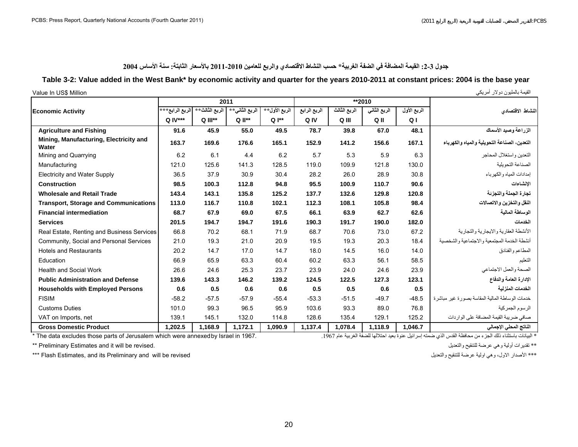### جدول 3-2: القيمة المضافة في الضفة الغربية\* حسب النشاط الاقتصادي والربع للعامين 2010-2011 بالأسعار الثابتة: سنة الأساس 2004

# **Table 3-2: Value added in the West Bank\* by economic activity and quarter for the years 2010-2011 at constant prices: 2004 is the base year**

|                                                 |                 |                | 2011               |               |              |              | **2010        |             |                                                |
|-------------------------------------------------|-----------------|----------------|--------------------|---------------|--------------|--------------|---------------|-------------|------------------------------------------------|
| <b>Economic Activity</b>                        | الربع الرابع*** | الربع الثالث** | الربع الثاني**     | الربع الأول** | الربع الرابع | الربع الثالث | الربع الثاني  | الربع الأول | لنشاط الاقتصادى                                |
|                                                 | $Q IV***$       | Q III**        | $Q \parallel^{**}$ | $Q \mid^{**}$ | Q IV         | $Q$ III      | $Q \parallel$ | QI          |                                                |
| <b>Agriculture and Fishing</b>                  | 91.6            | 45.9           | 55.0               | 49.5          | 78.7         | 39.8         | 67.0          | 48.1        | الزراعة وصيد الأسماك                           |
| Mining, Manufacturing, Electricity and<br>Water | 163.7           | 169.6          | 176.6              | 165.1         | 152.9        | 141.2        | 156.6         | 167.1       | التعدين، الصناعة التحويلية والمياه والكهرباء   |
| Mining and Quarrying                            | 6.2             | 6.1            | 4.4                | 6.2           | 5.7          | 5.3          | 5.9           | 6.3         | التعدين و استغلال المحاجر                      |
| Manufacturing                                   | 121.0           | 125.6          | 141.3              | 128.5         | 119.0        | 109.9        | 121.8         | 130.0       | الصناعة التحو بلبة                             |
| <b>Electricity and Water Supply</b>             | 36.5            | 37.9           | 30.9               | 30.4          | 28.2         | 26.0         | 28.9          | 30.8        | إمدادات المياه والكهرباء                       |
| <b>Construction</b>                             | 98.5            | 100.3          | 112.8              | 94.8          | 95.5         | 100.9        | 110.7         | 90.6        | الانشاءات                                      |
| <b>Wholesale and Retail Trade</b>               | 143.4           | 143.1          | 135.8              | 125.2         | 137.7        | 132.6        | 129.8         | 120.8       | تجارة الجملة والتجزئة                          |
| <b>Transport, Storage and Communications</b>    | 113.0           | 116.7          | 110.8              | 102.1         | 112.3        | 108.1        | 105.8         | 98.4        | النقل والتخزين والاتصالات                      |
| <b>Financial intermediation</b>                 | 68.7            | 67.9           | 69.0               | 67.5          | 66.1         | 63.9         | 62.7          | 62.6        | الوساطة المالبة                                |
| <b>Services</b>                                 | 201.5           | 194.7          | 194.7              | 191.6         | 190.3        | 191.7        | 190.0         | 182.0       | الخدمات                                        |
| Real Estate, Renting and Business Services      | 66.8            | 70.2           | 68.1               | 71.9          | 68.7         | 70.6         | 73.0          | 67.2        | الأنشطة العقارية والايجارية والتجارية          |
| Community, Social and Personal Services         | 21.0            | 19.3           | 21.0               | 20.9          | 19.5         | 19.3         | 20.3          | 18.4        | أنشطة الخدمة المجتمعية والاجتماعية والشخصية    |
| <b>Hotels and Restaurants</b>                   | 20.2            | 14.7           | 17.0               | 14.7          | 18.0         | 14.5         | 16.0          | 14.0        | المطاعم والفنادق                               |
| Education                                       | 66.9            | 65.9           | 63.3               | 60.4          | 60.2         | 63.3         | 56.1          | 58.5        | النعليم                                        |
| <b>Health and Social Work</b>                   | 26.6            | 24.6           | 25.3               | 23.7          | 23.9         | 24.0         | 24.6          | 23.9        | الصحة والعمل الاجتماعي                         |
| <b>Public Administration and Defense</b>        | 139.6           | 143.3          | 146.2              | 139.2         | 124.5        | 122.5        | 127.3         | 123.1       | الإدارة العامة والدفاع                         |
| <b>Households with Employed Persons</b>         | 0.6             | 0.5            | 0.6                | 0.6           | 0.5          | 0.5          | 0.6           | 0.5         | الخدمات المنزلية                               |
| <b>FISIM</b>                                    | $-58.2$         | $-57.5$        | $-57.9$            | $-55.4$       | $-53.3$      | $-51.5$      | $-49.7$       | $-48.5$     | خدمات الوساطة المالية المقاسة بصورة غبر مباشرة |
| <b>Customs Duties</b>                           | 101.0           | 99.3           | 96.5               | 95.9          | 103.6        | 93.3         | 89.0          | 76.8        | الرسوم الجمركية                                |
| VAT on Imports, net                             | 139.1           | 145.1          | 132.0              | 114.8         | 128.6        | 135.4        | 129.1         | 125.2       | صافي ضر بية القيمة المضافة على الو ار دات      |
| <b>Gross Domestic Product</b>                   | 1.202.5         | 1.168.9        | 1.172.1            | 1.090.9       | 1.137.4      | 1.078.4      | 1.118.9       | 1.046.7     | الناتج المحلى الإجمالي                         |

القيمة بالمليون دولار أمريكي Million \$US In Value

\* البيانات باستثناء ذلك الجزء من محافظة القدس الذي ضمته إسرائيل عنوة بعيد احتلالها للضفة الغربية عام 1967 . Ine data excludes those parts of Jerusalem which were annexed by Israel in 1967

\*\* Preliminary Estimates and it will be revised. والتعديل التنقيح والتعديل للتنقيح والتعديل للتنقيح والتعديل ل

\*\*\* Flash Estimates, and its Preliminary and will be revised والتعديل الأصدار الأول، وهي اولية عرضة التنقيح والتعديل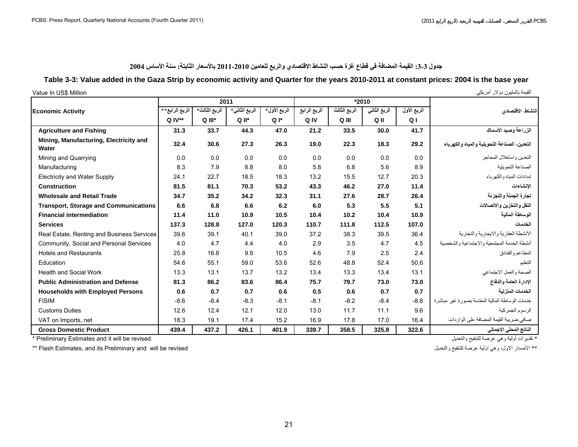#### **Table 3-3: Value added in the Gaza Strip by economic activity and Quarter for the years 2010-2011 at constant prices: 2004 is the base year**

القيمة بالمليون دولار أمريكي Million \$US In Value

|                                                 |                | 2011                   |                 |              |              |              | $*2010$      |             |                                                 |
|-------------------------------------------------|----------------|------------------------|-----------------|--------------|--------------|--------------|--------------|-------------|-------------------------------------------------|
| <b>Economic Activity</b>                        | الربع الرابع** | الربع الثالث*          | الربع الثاني*   | الربع الأول* | الربع الرابع | الربع الثالث | الربع الثاني | الربع الأول | النشاط الاقتصادي                                |
|                                                 | $Q IV**$       | $Q$ $   $ <sup>*</sup> | $Q \parallel^*$ | $Q I^*$      | Q IV         | $Q$ $II$     | $Q$ II       | QI          |                                                 |
| <b>Agriculture and Fishing</b>                  | 31.3           | 33.7                   | 44.3            | 47.0         | 21.2         | 33.5         | 30.0         | 41.7        | الزراعة وصبد الأسماك                            |
| Mining, Manufacturing, Electricity and<br>Water | 32.4           | 30.6                   | 27.3            | 26.3         | 19.0         | 22.3         | 18.3         | 29.2        | التعدين، الصناعة التحويلية و المياه و الكهر باع |
| Mining and Quarrying                            | 0.0            | 0.0                    | 0.0             | 0.0          | 0.0          | 0.0          | 0.0          | 0.0         | التعدين واستغلال المحاجر                        |
| Manufacturing                                   | 8.3            | 7.9                    | 8.8             | 8.0          | 5.8          | 6.8          | 5.6          | 8.9         | الصناعة التحويلية                               |
| <b>Electricity and Water Supply</b>             | 24.1           | 22.7                   | 18.5            | 18.3         | 13.2         | 15.5         | 12.7         | 20.3        | إمدادات المياه و الكهر باء                      |
| <b>Construction</b>                             | 81.5           | 81.1                   | 70.3            | 53.2         | 43.3         | 46.2         | 27.0         | 11.4        | الانشاءات                                       |
| <b>Wholesale and Retail Trade</b>               | 34.7           | 35.2                   | 34.2            | 32.3         | 31.1         | 27.6         | 28.7         | 26.4        | تجارة الجملة والتجزئة                           |
| <b>Transport, Storage and Communications</b>    | 6.6            | 6.8                    | 6.6             | 6.2          | 6.0          | 5.3          | 5.5          | 5.1         | النقل والتخزين والاتصالات                       |
| <b>Financial intermediation</b>                 | 11.4           | 11.0                   | 10.9            | 10.5         | 10.4         | 10.2         | 10.4         | 10.9        | الوساطة المالبة                                 |
| <b>Services</b>                                 | 137.3          | 128.8                  | 127.0           | 120.3        | 110.7        | 111.8        | 112.5        | 107.0       | الخدمات                                         |
| Real Estate, Renting and Business Services      | 39.6           | 39.1                   | 40.1            | 39.0         | 37.2         | 38.3         | 39.5         | 36.4        | الأنشطة العقارية والايجارية والتجارية           |
| Community, Social and Personal Services         | 4.0            | 4.7                    | 4.4             | 4.0          | 2.9          | 3.5          | 4.7          | 4.5         | أنشطة الخدمة المجتمعية و الاجتماعية و الشخصية   |
| <b>Hotels and Restaurants</b>                   | 25.8           | 16.8                   | 9.8             | 10.5         | 4.6          | 7.9          | 2.5          | 2.4         | المطاعم والفنادق                                |
| Education                                       | 54.6           | 55.1                   | 59.0            | 53.6         | 52.6         | 48.8         | 52.4         | 50.6        | النعليم                                         |
| <b>Health and Social Work</b>                   | 13.3           | 13.1                   | 13.7            | 13.2         | 13.4         | 13.3         | 13.4         | 13.1        | الصحة والعمل الاجتماعي                          |
| <b>Public Administration and Defense</b>        | 81.3           | 86.2                   | 83.6            | 86.4         | 75.7         | 79.7         | 73.0         | 73.0        | الإدارة العامة والدفاع                          |
| <b>Households with Employed Persons</b>         | 0.6            | 0.7                    | 0.7             | 0.6          | 0.5          | 0.6          | 0.7          | 0.7         | الخدمات المنز لية                               |
| <b>FISIM</b>                                    | $-8.6$         | $-8.4$                 | $-8.3$          | $-8.1$       | $-8.1$       | $-8.2$       | $-8.4$       | $-8.8$      | خدمات الوساطة المالية المقاسة بصورة غير مباشرة  |
| <b>Customs Duties</b>                           | 12.6           | 12.4                   | 12.1            | 12.0         | 13.0         | 11.7         | 11.1         | 9.6         | الرسوم الجمركية                                 |
| VAT on Imports, net                             | 18.3           | 19.1                   | 17.4            | 15.2         | 16.9         | 17.8         | 17.0         | 16.4        | صافي ضريبة القيمة المضافة على الواردات          |
| <b>Gross Domestic Product</b>                   | 439.4          | 437.2                  | 426.1           | 401.9        | 339.7        | 358.5        | 325.8        | 322.6       | الناتج المحلي الإجمالي                          |

\* Preliminary Estimates and it will be revised. والتقيح والتعديل للتنقيح والتعديل للتنقيح والتعديل للتنقيح والتعديل

\*\* Flash Estimates, and its Preliminary and will be revised والتعديل للتنقيح عرضة اولية وهي ،الاول الأصدار\*\*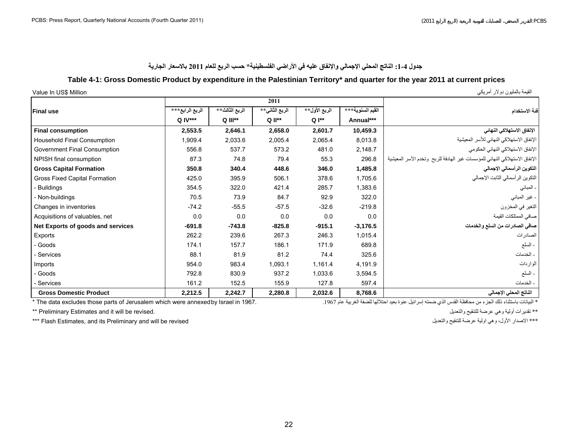#### جدول 4-1: الناتج المحلي الإجمالي والإنفاق عليه في الأراضي الفلسطينية\* حسب الربع للعام 2011 بالاسعار الجارية

#### **Table 4-1: Gross Domestic Product by expenditure in the Palestinian Territory\* and quarter for the year 2011 at current prices**

القيمة بالمليون دولار أمريكي Million \$US In Value

|                                    |                 |                                                                       | 2011               |               |            |                                                                            |
|------------------------------------|-----------------|-----------------------------------------------------------------------|--------------------|---------------|------------|----------------------------------------------------------------------------|
| <b>Final use</b>                   | الربع الرابع*** | القيم السنوية***<br>الربع الثالث**<br>الربع الثاني**<br>الربع الأول** |                    | فئة الاستخدام |            |                                                                            |
|                                    | Q IV***         | Q III**                                                               | $Q \parallel^{**}$ | $Q \mid^{**}$ | Annual***  |                                                                            |
| <b>Final consumption</b>           | 2,553.5         | 2,646.1                                                               | 2,658.0            | 2,601.7       | 10,459.3   | الإنفاق الاستهلاكي النهائي                                                 |
| <b>Household Final Consumption</b> | 1,909.4         | 2,033.6                                                               | 2,005.4            | 2,065.4       | 8,013.8    | الإنفاق الاستهلاكي النهائي للأسر المعيشية                                  |
| Government Final Consumption       | 556.8           | 537.7                                                                 | 573.2              | 481.0         | 2,148.7    | الإنفاق الاستهلاكي النهائي الحكومي                                         |
| NPISH final consumption            | 87.3            | 74.8                                                                  | 79.4               | 55.3          | 296.8      | الإنفاق الاستهلاكي النهائي للمؤسسات غير الهادفة للربح وتخدم الأسر المعيشية |
| <b>Gross Capital Formation</b>     | 350.8           | 340.4                                                                 | 448.6              | 346.0         | 1,485.8    | التكوين الرأسمالي الإجمالي                                                 |
| Gross Fixed Capital Formation      | 425.0           | 395.9                                                                 | 506.1              | 378.6         | 1,705.6    | النكوين الرأسمالي الثابت الإجمالي                                          |
| - Buildings                        | 354.5           | 322.0                                                                 | 421.4              | 285.7         | 1,383.6    | ۔ المباني                                                                  |
| - Non-buildings                    | 70.5            | 73.9                                                                  | 84.7               | 92.9          | 322.0      | ۔ غیر المبانی                                                              |
| Changes in inventories             | $-74.2$         | $-55.5$                                                               | $-57.5$            | $-32.6$       | $-219.8$   | التغير في المخزون                                                          |
| Acquisitions of valuables, net     | 0.0             | 0.0                                                                   | 0.0                | 0.0           | 0.0        | صـافى الممتلكات القيمة                                                     |
| Net Exports of goods and services  | $-691.8$        | $-743.8$                                                              | $-825.8$           | $-915.1$      | $-3,176.5$ | صافي الصادرات من السلع والخدمات                                            |
| Exports                            | 262.2           | 239.6                                                                 | 267.3              | 246.3         | 1,015.4    | الصادر ات                                                                  |
| - Goods                            | 174.1           | 157.7                                                                 | 186.1              | 171.9         | 689.8      | - السلع                                                                    |
| - Services                         | 88.1            | 81.9                                                                  | 81.2               | 74.4          | 325.6      | - الخدمات                                                                  |
| Imports                            | 954.0           | 983.4                                                                 | 1,093.1            | 1,161.4       | 4,191.9    | المواردات                                                                  |
| - Goods                            | 792.8           | 830.9                                                                 | 937.2              | 1,033.6       | 3,594.5    | - السلع                                                                    |
| - Services                         | 161.2           | 152.5                                                                 | 155.9              | 127.8         | 597.4      | - الخدمات                                                                  |
| <b>Gross Domestic Product</b>      | 2,212.5         | 2,242.7                                                               | 2,280.8            | 2,032.6       | 8,768.6    | الناتج المحلي الإجمالي                                                     |

\* البيانات باستثناء ذلك الجزء من محافظة القدس الذي ضمته إسرائيل عنوة بعيد احتلالها للضفة الغربية عام 1967 . .<br>\* البيانات باستثناء ذلك الجزء من محافظة القدس الذي ضمته إسرائيل عنوة بعيد احتلالها للضفة الغربية عام 1967 . . .

\*\* Preliminary Estimates and it will be revised. والتعديل التاقيح والتعديل للتنقيح عرضة للتنقيح والتعديل للتنقيح عرضة للتنقيح عرضة للتنقيح والتعديل

\*\*\* Flash Estimates, and its Preliminary and will be revised والتعديل للتنقيح عرضة اولية وهي ،الأول الاصدار\*\*\*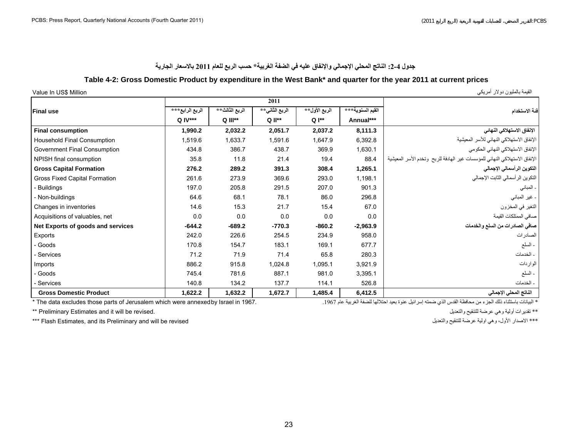#### **Table 4-2: Gross Domestic Product by expenditure in the West Bank\* and quarter for the year 2011 at current prices**

القيمة بالمليون دولار أمريكي Million \$US In Value

|                                      |                 |                | 2011                   |               |                  |                                                                            |
|--------------------------------------|-----------------|----------------|------------------------|---------------|------------------|----------------------------------------------------------------------------|
| <b>Final use</b>                     | الربع الرابع*** | الربع الثالث** | الربع الثان <i>ي**</i> | الربع الأول** | القيم السنوية*** | فئة الاستخدام                                                              |
|                                      | Q IV***         | Q III**        | Q II**                 | $Q \mid^{**}$ | Annual***        |                                                                            |
| <b>Final consumption</b>             | 1,990.2         | 2,032.2        | 2,051.7                | 2,037.2       | 8,111.3          | الإنفاق الاستهلاكي النهائي                                                 |
| Household Final Consumption          | 1,519.6         | 1,633.7        | 1,591.6                | 1,647.9       | 6,392.8          | الإنفاق الاستهلاكي النهائي للأسر المعيشية                                  |
| Government Final Consumption         | 434.8           | 386.7          | 438.7                  | 369.9         | 1,630.1          | الإنفاق الاستهلاكي النهائي الحكومي                                         |
| NPISH final consumption              | 35.8            | 11.8           | 21.4                   | 19.4          | 88.4             | الإنفاق الاستهلاكي النهائي للمؤسسات غير الهادفة للربح وتخدم الأسر المعيشية |
| <b>Gross Capital Formation</b>       | 276.2           | 289.2          | 391.3                  | 308.4         | 1,265.1          | التكوين الرأسمالي الإجمالي                                                 |
| <b>Gross Fixed Capital Formation</b> | 261.6           | 273.9          | 369.6                  | 293.0         | 1,198.1          | النكوين الرأسمالي الثابت الإجمالي                                          |
| Buildings                            | 197.0           | 205.8          | 291.5                  | 207.0         | 901.3            | ۔ المباني                                                                  |
| - Non-buildings                      | 64.6            | 68.1           | 78.1                   | 86.0          | 296.8            | ۔ غیر المباني                                                              |
| Changes in inventories               | 14.6            | 15.3           | 21.7                   | 15.4          | 67.0             | التغير في المخزون                                                          |
| Acquisitions of valuables, net       | 0.0             | 0.0            | 0.0                    | 0.0           | 0.0              | صافي الممتلكات القيمة                                                      |
| Net Exports of goods and services    | $-644.2$        | $-689.2$       | $-770.3$               | $-860.2$      | $-2,963.9$       | صافي الصادرات من السلع والخدمات                                            |
| Exports                              | 242.0           | 226.6          | 254.5                  | 234.9         | 958.0            | الصادر ات                                                                  |
| Goods                                | 170.8           | 154.7          | 183.1                  | 169.1         | 677.7            | - السلع                                                                    |
| Services                             | 71.2            | 71.9           | 71.4                   | 65.8          | 280.3            | - الخدمات                                                                  |
| Imports                              | 886.2           | 915.8          | 1,024.8                | 1,095.1       | 3,921.9          | الواردات                                                                   |
| Goods                                | 745.4           | 781.6          | 887.1                  | 981.0         | 3,395.1          | . السلع                                                                    |
| Services                             | 140.8           | 134.2          | 137.7                  | 114.1         | 526.8            | - الخدمات                                                                  |
| <b>Gross Domestic Product</b>        | 1,622.2         | 1,632.2        | 1,672.7                | 1,485.4       | 6,412.5          | الناتج المطي الإجمالي                                                      |

\* جي البيانات باستثناء ذلك الجزء من محافظة القدس الذي ضمته إسرائيل عنوة بعيد احتلالها للضفة الغربية عام 1967 .<br>\* البيانات باستثناء ذلك الجزء من محافظة القدس الذي ضمته إسرائيل عنوة بعيد احتلالها للضفة الغربية عام 1967 . [1

\*\* Preliminary Estimates and it will be revised. والتعديل التاقيح والتعديل للتنقيح عرضة للتنقيح والتعديل للتنقيح عرضة للتنقيح عرضة للتنقيح والتعديل

\*\*\* Flash Estimates, and its Preliminary and will be revised والتعديل للتنقيح عرضة اولية وهي ،الأول الاصدار\*\*\*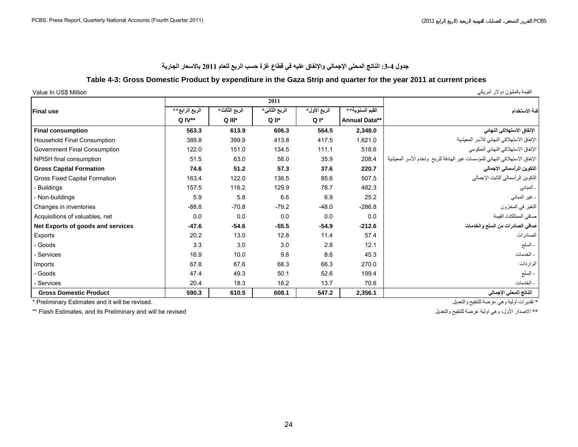# **جدول :3-4 الناتج المحلي الإجمالي والإنفاق عليه في قطاع غزة حسب الربع للعام 2011 بالاسعار الجارية**

#### **Table 4-3: Gross Domestic Product by expenditure in the Gaza Strip and quarter for the year 2011 at current prices**

القيمة بالمليون دولار أمريكي Million \$US In Value

|                                      |                |               | 2011          |              |                      |                                                                            |
|--------------------------------------|----------------|---------------|---------------|--------------|----------------------|----------------------------------------------------------------------------|
| <b>Final use</b>                     | الربع الرابع** | الربع الثالث* | الربع الثاني* | الربع الأول* | القيم السنوية**      | فئة الاستخدام                                                              |
|                                      | $Q IV**$       | Q III*        | Q II*         | Q I*         | <b>Annual Data**</b> |                                                                            |
| <b>Final consumption</b>             | 563.3          | 613.9         | 606.3         | 564.5        | 2,348.0              | الإنفاق الاستهلاكي النهائي                                                 |
| Household Final Consumption          | 389.8          | 399.9         | 413.8         | 417.5        | 1,621.0              | الإنفاق الاستهلاكي النهائي للأسر المعيشية                                  |
| Government Final Consumption         | 122.0          | 151.0         | 134.5         | 111.1        | 518.6                | الإنفاق الاستهلاكي النهائي الحكومي                                         |
| NPISH final consumption              | 51.5           | 63.0          | 58.0          | 35.9         | 208.4                | الإنفاق الاستهلاكي النهائي للمؤسسات غير الهادفة للربح وتخدم الأسر المعيشية |
| <b>Gross Capital Formation</b>       | 74.6           | 51.2          | 57.3          | 37.6         | 220.7                | التكوين الرأسمالي الإجمالي                                                 |
| <b>Gross Fixed Capital Formation</b> | 163.4          | 122.0         | 136.5         | 85.6         | 507.5                | التكوين الرأسمالي الثابت الإجمالي                                          |
| - Buildings                          | 157.5          | 116.2         | 129.9         | 78.7         | 482.3                | المباني                                                                    |
| - Non-buildings                      | 5.9            | 5.8           | 6.6           | 6.9          | 25.2                 | ۔ غير المباني                                                              |
| Changes in inventories               | $-88.8$        | $-70.8$       | $-79.2$       | $-48.0$      | $-286.8$             | التغير في المخزون                                                          |
| Acquisitions of valuables, net       | 0.0            | 0.0           | 0.0           | 0.0          | 0.0                  | صافى الممتلكات القيمة                                                      |
| Net Exports of goods and services    | $-47.6$        | $-54.6$       | $-55.5$       | $-54.9$      | $-212.6$             | صافي الصادرات من السلع والخدمات                                            |
| Exports                              | 20.2           | 13.0          | 12.8          | 11.4         | 57.4                 | الصادر ات                                                                  |
| - Goods                              | 3.3            | 3.0           | 3.0           | 2.8          | 12.1                 | - السلع                                                                    |
| - Services                           | 16.9           | 10.0          | 9.8           | 8.6          | 45.3                 | - الخدمات                                                                  |
| Imports                              | 67.8           | 67.6          | 68.3          | 66.3         | 270.0                | الواردات                                                                   |
| - Goods                              | 47.4           | 49.3          | 50.1          | 52.6         | 199.4                | - السلع                                                                    |
| - Services                           | 20.4           | 18.3          | 18.2          | 13.7         | 70.6                 | - الخدمات                                                                  |
| <b>Gross Domestic Product</b>        | 590.3          | 610.5         | 608.1         | 547.2        | 2,356.1              | الناتج المحلي الإجمالي                                                     |

\* تقديرات أولية وهي عرضة للتنقيح والتحديل للتنقيح والتحديل للتنقيح والتحديل للتنقيح عرضة التنقيح عرضة التنقيح عرضة التنقيح عرضة التنقيح عرضة التنقيح عرضة التنقيح عرضة التنقيح والتحديل

\*\* Flash Estimates, and its Preliminary and will be revised والتعديل للتنقيح عرضة اولية وهي ،الأول الاصدار\*\*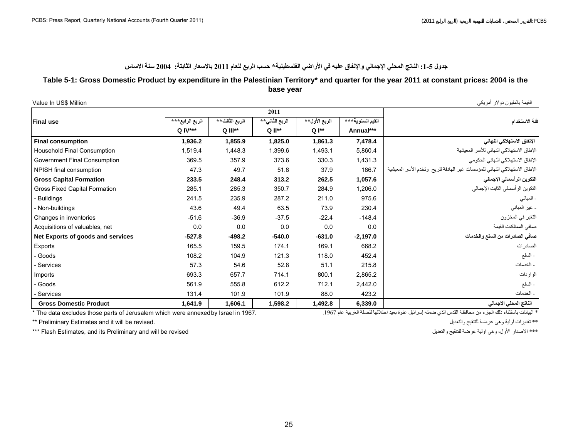#### جدول 5-1: الناتج المحلي الإجمالي والإنفاق عليه في الأراضي الفلسطينية\* حسب الربع للعام 2011 بالاسعار الثابتة: 2004 سنة الاساس

#### **Table 5-1: Gross Domestic Product by expenditure in the Palestinian Territory\* and quarter for the year 2011 at constant prices: 2004 is the base year**

القيمة بالمليون دولار أمريكي Million \$US In Value

|                                      |                 |                | 2011           |               |                  |                                                                            |
|--------------------------------------|-----------------|----------------|----------------|---------------|------------------|----------------------------------------------------------------------------|
| <b>Final use</b>                     | الربع الرابع*** | الربع الثالث** | الربع الثاني** | الربع الأول** | القيم السنوية*** | فئة الاستخدام                                                              |
|                                      | Q IV***         | Q III**        | Q   **         | $Q \mid^{**}$ | Annual***        |                                                                            |
| <b>Final consumption</b>             | 1,936.2         | 1,855.9        | 1,825.0        | 1,861.3       | 7,478.4          | الإنفاق الاستهلاكي النهائي                                                 |
| Household Final Consumption          | 1,519.4         | 1,448.3        | 1,399.6        | 1,493.1       | 5,860.4          | الإنفاق الاستهلاكي النهائي للأسر المعيشية                                  |
| Government Final Consumption         | 369.5           | 357.9          | 373.6          | 330.3         | 1,431.3          | الإنفاق الاستهلاكي النهائي الحكومي                                         |
| NPISH final consumption              | 47.3            | 49.7           | 51.8           | 37.9          | 186.7            | الإنفاق الاستهلاكي النهائي للمؤسسات غير الهادفة للربح وتخدم الأسر المعيشية |
| <b>Gross Capital Formation</b>       | 233.5           | 248.4          | 313.2          | 262.5         | 1,057.6          | التكوين الرأسمالي الإجمالي                                                 |
| <b>Gross Fixed Capital Formation</b> | 285.1           | 285.3          | 350.7          | 284.9         | 1,206.0          | النكوين الرأسمالي الثابت الإجمالي                                          |
| - Buildings                          | 241.5           | 235.9          | 287.2          | 211.0         | 975.6            | ۔ المباني                                                                  |
| - Non-buildings                      | 43.6            | 49.4           | 63.5           | 73.9          | 230.4            | ۔ غیر المباني                                                              |
| Changes in inventories               | $-51.6$         | $-36.9$        | $-37.5$        | $-22.4$       | $-148.4$         | التغير في المخزون                                                          |
| Acquisitions of valuables, net       | 0.0             | 0.0            | 0.0            | 0.0           | 0.0              | صافى الممتلكات القيمة                                                      |
| Net Exports of goods and services    | $-527.8$        | $-498.2$       | $-540.0$       | $-631.0$      | $-2,197.0$       | صافي الصادرات من السلع والخدمات                                            |
| Exports                              | 165.5           | 159.5          | 174.1          | 169.1         | 668.2            | الصادر ات                                                                  |
| - Goods                              | 108.2           | 104.9          | 121.3          | 118.0         | 452.4            | - السلع                                                                    |
| Services                             | 57.3            | 54.6           | 52.8           | 51.1          | 215.8            | - الخدمات                                                                  |
| Imports                              | 693.3           | 657.7          | 714.1          | 800.1         | 2,865.2          | الواردات                                                                   |
| Goods                                | 561.9           | 555.8          | 612.2          | 712.1         | 2,442.0          | ۔ السلع                                                                    |
| Services                             | 131.4           | 101.9          | 101.9          | 88.0          | 423.2            | - الخدمات                                                                  |
| <b>Gross Domestic Product</b>        | 1,641.9         | 1,606.1        | 1,598.2        | 1,492.8       | 6,339.0          | الناتج المحلي الإجمالي                                                     |

.<br>ذلك الجزء من محافظة القدس الذي ضمته إسرائيل عنوة بعيد احتلالها للضفة الغربية عام 1967 . . . . . . The data excludes those parts of Jerusalem which were annexed by Israel in 1967.

\*\* Preliminary Estimates and it will be revised. والتحديل التنقيح والتعديل للتنقيح والتعديل للتنقيح عرضة للتنقيح والتعديل

\*\*\* Flash Estimates, and its Preliminary and will be revised والتعديل للتنقيح عرضة اولية وهي ،الأول الاصدار\*\*\*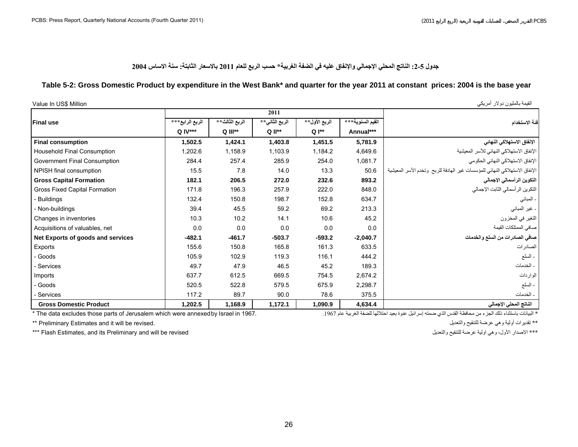# جدول 5-2: الناتج المحلي الإجمالي والإنفاق عليه في الضفة الغربية\* حسب الربع للعام 2011 بالاسعار الثابتة: سنة الاساس 2004

#### **Table 5-2: Gross Domestic Product by expenditure in the West Bank\* and quarter for the year 2011 at constant prices: 2004 is the base year**

| Value In US\$ Million | القيمة بالمليون دولار أمريكي |
|-----------------------|------------------------------|
|                       |                              |

|                                      |                 |                | 2011           |               |                  |                                                                            |
|--------------------------------------|-----------------|----------------|----------------|---------------|------------------|----------------------------------------------------------------------------|
| <b>Final use</b>                     | الربع الرابع*** | الربع الثالث** | الربع الثاني** | الربع الأول** | القيم السنوية*** | فئة الاستخدام                                                              |
|                                      | Q IV***         | $Q$ $   **$    | Q II**         | Q  **         | Annual***        |                                                                            |
| <b>Final consumption</b>             | 1,502.5         | 1,424.1        | 1,403.8        | 1,451.5       | 5,781.9          | الإنفاق الاستهلاكي النهائي                                                 |
| Household Final Consumption          | 1,202.6         | 1,158.9        | 1,103.9        | 1,184.2       | 4,649.6          | الإنفاق الاستهلاكي النهائي للأسر المعيشية                                  |
| Government Final Consumption         | 284.4           | 257.4          | 285.9          | 254.0         | 1,081.7          | الإنفاق الاستهلاكي النهائي الحكومي                                         |
| NPISH final consumption              | 15.5            | 7.8            | 14.0           | 13.3          | 50.6             | الإنفاق الاستهلاكي النهائي للمؤسسات غير الهادفة للربح وتخدم الأسر المعيشية |
| <b>Gross Capital Formation</b>       | 182.1           | 206.5          | 272.0          | 232.6         | 893.2            | التكوين الرأسمالي الإجمالي                                                 |
| <b>Gross Fixed Capital Formation</b> | 171.8           | 196.3          | 257.9          | 222.0         | 848.0            | التكوين الرأسمالي الثابت الإجمالي                                          |
| - Buildings                          | 132.4           | 150.8          | 198.7          | 152.8         | 634.7            | ۔ المباني                                                                  |
| - Non-buildings                      | 39.4            | 45.5           | 59.2           | 69.2          | 213.3            | ۔ غير المباني                                                              |
| Changes in inventories               | 10.3            | 10.2           | 14.1           | 10.6          | 45.2             | التغير في المخزون                                                          |
| Acquisitions of valuables, net       | 0.0             | 0.0            | 0.0            | 0.0           | 0.0              | صـافي الممتلكات القيمة                                                     |
| Net Exports of goods and services    | $-482.1$        | $-461.7$       | $-503.7$       | $-593.2$      | $-2,040.7$       | صافي الصادرات من السلع والخدمات                                            |
| Exports                              | 155.6           | 150.8          | 165.8          | 161.3         | 633.5            | الصادر ات                                                                  |
| - Goods                              | 105.9           | 102.9          | 119.3          | 116.1         | 444.2            | ۔ السلع                                                                    |
| - Services                           | 49.7            | 47.9           | 46.5           | 45.2          | 189.3            | - الخدمات                                                                  |
| Imports                              | 637.7           | 612.5          | 669.5          | 754.5         | 2,674.2          | الواردات                                                                   |
| - Goods                              | 520.5           | 522.8          | 579.5          | 675.9         | 2,298.7          | - السلع                                                                    |
| - Services                           | 117.2           | 89.7           | 90.0           | 78.6          | 375.5            | - الخدمات                                                                  |
| <b>Gross Domestic Product</b>        | 1,202.5         | 1,168.9        | 1,172.1        | 1,090.9       | 4,634.4          | الناتج المحلي الإجمالي                                                     |

\* البيانات باستثناء ذلك الجزء من محافظة القدس الذي ضمته إسرائيل عنوة بعيد احتلالها للضفة الغربية عام .1967 1967. in Israel by annexed were which Jerusalem of parts those excludes data The\*

\*\* Preliminary Estimates and it will be revised. والتحديل التاقيح والتعديل للتنقيح عرضة للتنقيح والتعديل للتنقيح عرضة للتنقيح عرضة للتنقيح عرضة للتنقيح عرضة للتنقيح والتحديل مستقيمته عرضة للتنقيح عرضة المتنقيح والتحديل ال

\*\*\* Flash Estimates, and its Preliminary and will be revised والتعديل الأول، وهي اولية عرضة للتنقيح والتعديل ا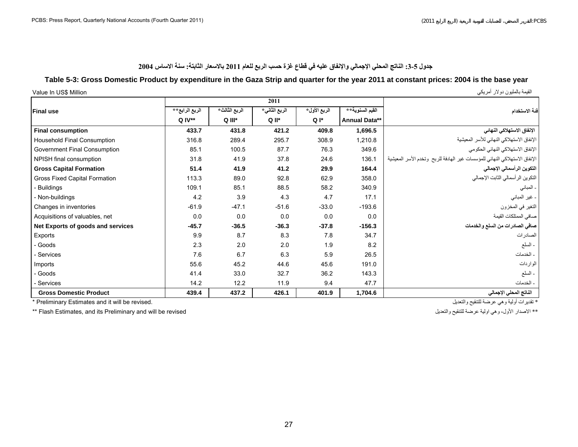#### **Table 5-3: Gross Domestic Product by expenditure in the Gaza Strip and quarter for the year 2011 at constant prices: 2004 is the base year**

 $\blacksquare$ 

**2011**

القيمة بالمليون دولار أمريكي Million \$US In Value

| <b>Final use</b>                              | الربع الرابع** | الربع الثالث* | الربع الثاني* | الربع الأول* | القيم السنوية** | فئة الاستخدام                                                              |
|-----------------------------------------------|----------------|---------------|---------------|--------------|-----------------|----------------------------------------------------------------------------|
|                                               | $Q IV**$       | $Q$ $III^*$   | Q II*         | Q I*         | Annual Data**   |                                                                            |
| <b>Final consumption</b>                      | 433.7          | 431.8         | 421.2         | 409.8        | 1,696.5         | الإنفاق الاستهلاكي النهائي                                                 |
| <b>Household Final Consumption</b>            | 316.8          | 289.4         | 295.7         | 308.9        | 1,210.8         | الإنفاق الاستهلاكي النهائي للأسر المعيشية                                  |
| Government Final Consumption                  | 85.1           | 100.5         | 87.7          | 76.3         | 349.6           | الإنفاق الاستهلاكي النهائي الحكومي                                         |
| NPISH final consumption                       | 31.8           | 41.9          | 37.8          | 24.6         | 136.1           | الإنفاق الاستهلاكي النهائي للمؤسسات غير الهادفة للربح وتخدم الأسر المعيشية |
| <b>Gross Capital Formation</b>                | 51.4           | 41.9          | 41.2          | 29.9         | 164.4           | التكوين الرأسمالي الإجمالي                                                 |
| Gross Fixed Capital Formation                 | 113.3          | 89.0          | 92.8          | 62.9         | 358.0           | النكوين الرأسمالي الثابت الإجمالي                                          |
| - Buildings                                   | 109.1          | 85.1          | 88.5          | 58.2         | 340.9           | ۔ المباني                                                                  |
| - Non-buildings                               | 4.2            | 3.9           | 4.3           | 4.7          | 17.1            | ۔ غير المباني                                                              |
| Changes in inventories                        | $-61.9$        | $-47.1$       | $-51.6$       | $-33.0$      | $-193.6$        | التغير في المخزون                                                          |
| Acquisitions of valuables, net                | 0.0            | 0.0           | 0.0           | 0.0          | 0.0             | صافى الممتلكات القيمة                                                      |
| Net Exports of goods and services             | $-45.7$        | $-36.5$       | $-36.3$       | $-37.8$      | $-156.3$        | صافي الصادرات من السلع والخدمات                                            |
| Exports                                       | 9.9            | 8.7           | 8.3           | 7.8          | 34.7            | الصادر ات                                                                  |
| - Goods                                       | 2.3            | 2.0           | 2.0           | 1.9          | 8.2             | - السلع                                                                    |
| - Services                                    | 7.6            | 6.7           | 6.3           | 5.9          | 26.5            | - الخدمات                                                                  |
| Imports                                       | 55.6           | 45.2          | 44.6          | 45.6         | 191.0           | الواردات                                                                   |
| - Goods                                       | 41.4           | 33.0          | 32.7          | 36.2         | 143.3           | - السلع                                                                    |
| - Services                                    | 14.2           | 12.2          | 11.9          | 9.4          | 47.7            | - الخدمات                                                                  |
| <b>Gross Domestic Product</b>                 | 439.4          | 437.2         | 426.1         | 401.9        | 1,704.6         | الناتج المحلي الإجمالي                                                     |
| Preliminary Estimates and it will be revised. |                |               |               |              |                 | * تقديرات أولية وهي عرضة للتنقيح والتعديل                                  |

\*\* Flash Estimates, and its Preliminary and will be revised والتعديل للتنقيح عرضة اولية وهي ،الأول الاصدار\*\*